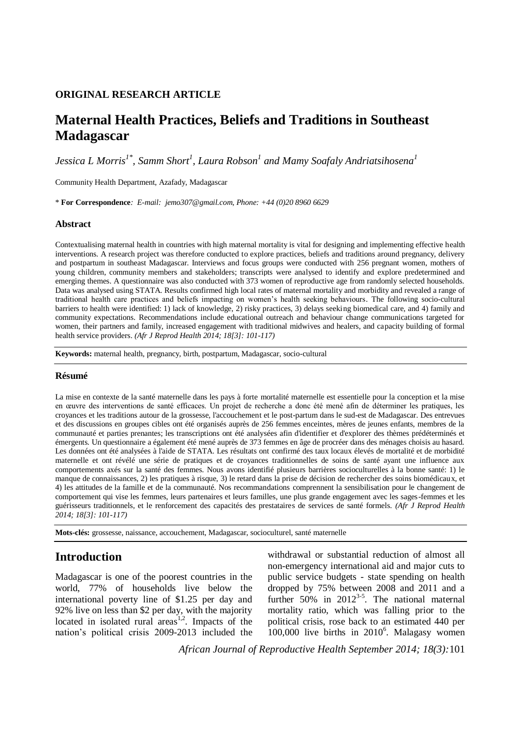## **ORIGINAL RESEARCH ARTICLE**

# **Maternal Health Practices, Beliefs and Traditions in Southeast Madagascar**

*Jessica L Morris1\*, Samm Short<sup>1</sup> , Laura Robson<sup>1</sup> and Mamy Soafaly Andriatsihosena<sup>1</sup>*

Community Health Department, Azafady, Madagascar

\* **For Correspondence***: E-mail: jemo307@gmail.com, Phone: +44 (0)20 8960 6629*

### **Abstract**

Contextualising maternal health in countries with high maternal mortality is vital for designing and implementing effective health interventions. A research project was therefore conducted to explore practices, beliefs and traditions around pregnancy, delivery and postpartum in southeast Madagascar. Interviews and focus groups were conducted with 256 pregnant women, mothers of young children, community members and stakeholders; transcripts were analysed to identify and explore predetermined and emerging themes. A questionnaire was also conducted with 373 women of reproductive age from randomly selected households. Data was analysed using STATA. Results confirmed high local rates of maternal mortality and morbidity and revealed a range of traditional health care practices and beliefs impacting on women's health seeking behaviours. The following socio-cultural barriers to health were identified: 1) lack of knowledge, 2) risky practices, 3) delays seeking biomedical care, and 4) family and community expectations. Recommendations include educational outreach and behaviour change communications targeted for women, their partners and family, increased engagement with traditional midwives and healers, and capacity building of formal health service providers. *(Afr J Reprod Health 2014; 18[3]: 101-117)*

**Keywords:** maternal health, pregnancy, birth, postpartum, Madagascar, socio-cultural

### **Résumé**

La mise en contexte de la santé maternelle dans les pays à forte mortalité maternelle est essentielle pour la conception et la mise en œuvre des interventions de santé efficaces. Un projet de recherche a donc été mené afin de déterminer les pratiques, les croyances et les traditions autour de la grossesse, l'accouchement et le post-partum dans le sud-est de Madagascar. Des entrevues et des discussions en groupes cibles ont été organisés auprès de 256 femmes enceintes, mères de jeunes enfants, membres de la communauté et parties prenantes; les transcriptions ont été analysées afin d'identifier et d'explorer des thèmes prédéterminés et émergents. Un questionnaire a également été mené auprès de 373 femmes en âge de procréer dans des ménages choisis au hasard. Les données ont été analysées à l'aide de STATA. Les résultats ont confirmé des taux locaux élevés de mortalité et de morbidité maternelle et ont révélé une série de pratiques et de croyances traditionnelles de soins de santé ayant une influence aux comportements axés sur la santé des femmes. Nous avons identifié plusieurs barrières socioculturelles à la bonne santé: 1) le manque de connaissances, 2) les pratiques à risque, 3) le retard dans la prise de décision de rechercher des soins biomédicaux, et 4) les attitudes de la famille et de la communauté. Nos recommandations comprennent la sensibilisation pour le changement de comportement qui vise les femmes, leurs partenaires et leurs familles, une plus grande engagement avec les sages-femmes et les guérisseurs traditionnels, et le renforcement des capacités des prestataires de services de santé formels. *(Afr J Reprod Health 2014; 18[3]: 101-117)*

**Mots-clés:** grossesse, naissance, accouchement, Madagascar, socioculturel, santé maternelle

## **Introduction**

Madagascar is one of the poorest countries in the world, 77% of households live below the international poverty line of \$1.25 per day and 92% live on less than \$2 per day, with the majority located in isolated rural  $area<sup>1,2</sup>$ . Impacts of the nation's political crisis 2009-2013 included the withdrawal or substantial reduction of almost all non-emergency international aid and major cuts to public service budgets - state spending on health dropped by 75% between 2008 and 2011 and a further  $50\%$  in  $2012^{3.5}$ . The national maternal mortality ratio, which was falling prior to the political crisis, rose back to an estimated 440 per  $100,000$  live births in 2010<sup>6</sup>. Malagasy women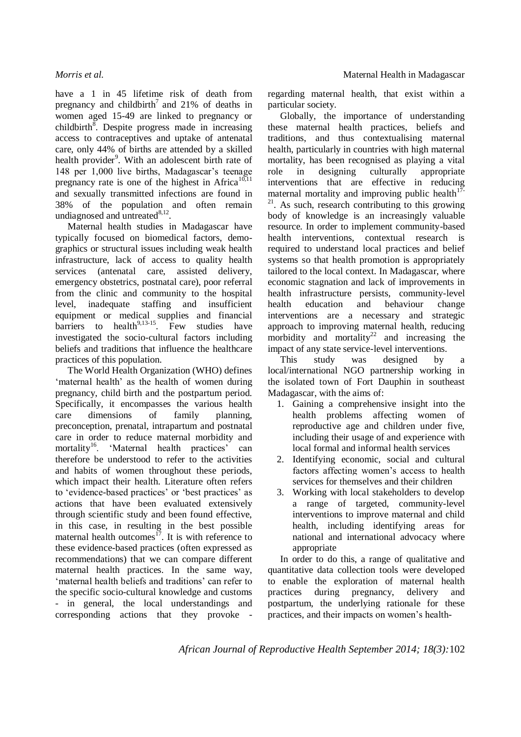have a 1 in 45 lifetime risk of death from pregnancy and childbirth<sup>7</sup> and 21% of deaths in women aged 15-49 are linked to pregnancy or childbirth $\overline{8}$ . Despite progress made in increasing access to contraceptives and uptake of antenatal care, only 44% of births are attended by a skilled health provider<sup>9</sup>. With an adolescent birth rate of 148 per 1,000 live births, Madagascar's teenage pregnancy rate is one of the highest in Africa<sup>10,11</sup> and sexually transmitted infections are found in 38% of the population and often remain undiagnosed and untreated $8,12$ .

Maternal health studies in Madagascar have typically focused on biomedical factors, demographics or structural issues including weak health infrastructure, lack of access to quality health services (antenatal care, assisted delivery, emergency obstetrics, postnatal care), poor referral from the clinic and community to the hospital level, inadequate staffing and insufficient equipment or medical supplies and financial barriers to health $9,13-15$ . Few studies have investigated the socio-cultural factors including beliefs and traditions that influence the healthcare practices of this population.

The World Health Organization (WHO) defines 'maternal health' as the health of women during pregnancy, child birth and the postpartum period. Specifically, it encompasses the various health care dimensions of family planning, preconception, prenatal, intrapartum and postnatal care in order to reduce maternal morbidity and mortality<sup>16</sup>. 'Maternal health practices' can therefore be understood to refer to the activities and habits of women throughout these periods, which impact their health. Literature often refers to 'evidence-based practices' or 'best practices' as actions that have been evaluated extensively through scientific study and been found effective, in this case, in resulting in the best possible maternal health outcomes<sup>17</sup>. It is with reference to these evidence-based practices (often expressed as recommendations) that we can compare different maternal health practices. In the same way, 'maternal health beliefs and traditions' can refer to the specific socio-cultural knowledge and customs - in general, the local understandings and corresponding actions that they provoke -

regarding maternal health, that exist within a particular society.

Globally, the importance of understanding these maternal health practices, beliefs and traditions, and thus contextualising maternal health, particularly in countries with high maternal mortality, has been recognised as playing a vital role in designing culturally appropriate interventions that are effective in reducing maternal mortality and improving public health $17$ <sup>21</sup>. As such, research contributing to this growing body of knowledge is an increasingly valuable resource. In order to implement community-based health interventions, contextual research is required to understand local practices and belief systems so that health promotion is appropriately tailored to the local context. In Madagascar, where economic stagnation and lack of improvements in health infrastructure persists, community-level health education and behaviour change interventions are a necessary and strategic approach to improving maternal health, reducing morbidity and mortality<sup>22</sup> and increasing the impact of any state service-level interventions.

This study was designed by a local/international NGO partnership working in the isolated town of Fort Dauphin in southeast Madagascar, with the aims of:

- 1. Gaining a comprehensive insight into the health problems affecting women of reproductive age and children under five, including their usage of and experience with local formal and informal health services
- 2. Identifying economic, social and cultural factors affecting women's access to health services for themselves and their children
- 3. Working with local stakeholders to develop a range of targeted, community-level interventions to improve maternal and child health, including identifying areas for national and international advocacy where appropriate

In order to do this, a range of qualitative and quantitative data collection tools were developed to enable the exploration of maternal health practices during pregnancy, delivery and postpartum, the underlying rationale for these practices, and their impacts on women's health-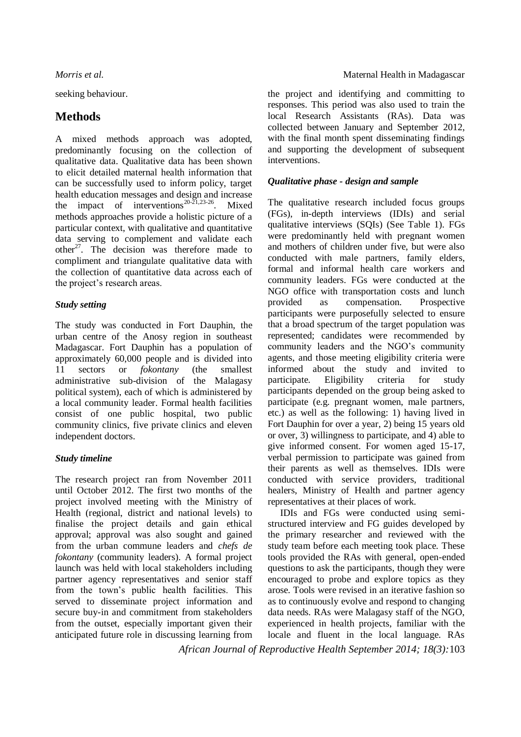seeking behaviour.

# **Methods**

A mixed methods approach was adopted, predominantly focusing on the collection of qualitative data. Qualitative data has been shown to elicit detailed maternal health information that can be successfully used to inform policy, target health education messages and design and increase the impact of interventions<sup>20-21,23-26</sup>. Mixed methods approaches provide a holistic picture of a particular context, with qualitative and quantitative data serving to complement and validate each other<sup>27</sup>. The decision was therefore made to compliment and triangulate qualitative data with the collection of quantitative data across each of the project's research areas.

## *Study setting*

The study was conducted in Fort Dauphin, the urban centre of the Anosy region in southeast Madagascar. Fort Dauphin has a population of approximately 60,000 people and is divided into 11 sectors or *fokontany* (the smallest administrative sub-division of the Malagasy political system), each of which is administered by a local community leader. Formal health facilities consist of one public hospital, two public community clinics, five private clinics and eleven independent doctors.

## *Study timeline*

The research project ran from November 2011 until October 2012. The first two months of the project involved meeting with the Ministry of Health (regional, district and national levels) to finalise the project details and gain ethical approval; approval was also sought and gained from the urban commune leaders and *chefs de fokontany* (community leaders). A formal project launch was held with local stakeholders including partner agency representatives and senior staff from the town's public health facilities. This served to disseminate project information and secure buy-in and commitment from stakeholders from the outset, especially important given their anticipated future role in discussing learning from

## *Morris et al.* Morris *et al.* Morris *et al.* Maternal Health in Madagascar

the project and identifying and committing to responses. This period was also used to train the local Research Assistants (RAs). Data was collected between January and September 2012, with the final month spent disseminating findings and supporting the development of subsequent interventions.

## *Qualitative phase - design and sample*

The qualitative research included focus groups (FGs), in-depth interviews (IDIs) and serial qualitative interviews (SQIs) (See Table 1). FGs were predominantly held with pregnant women and mothers of children under five, but were also conducted with male partners, family elders, formal and informal health care workers and community leaders. FGs were conducted at the NGO office with transportation costs and lunch provided as compensation. Prospective participants were purposefully selected to ensure that a broad spectrum of the target population was represented; candidates were recommended by community leaders and the NGO's community agents, and those meeting eligibility criteria were informed about the study and invited to participate. Eligibility criteria for study participants depended on the group being asked to participate (e.g. pregnant women, male partners, etc.) as well as the following: 1) having lived in Fort Dauphin for over a year, 2) being 15 years old or over, 3) willingness to participate, and 4) able to give informed consent. For women aged 15-17, verbal permission to participate was gained from their parents as well as themselves. IDIs were conducted with service providers, traditional healers, Ministry of Health and partner agency representatives at their places of work.

IDIs and FGs were conducted using semistructured interview and FG guides developed by the primary researcher and reviewed with the study team before each meeting took place. These tools provided the RAs with general, open-ended questions to ask the participants, though they were encouraged to probe and explore topics as they arose. Tools were revised in an iterative fashion so as to continuously evolve and respond to changing data needs. RAs were Malagasy staff of the NGO, experienced in health projects, familiar with the locale and fluent in the local language. RAs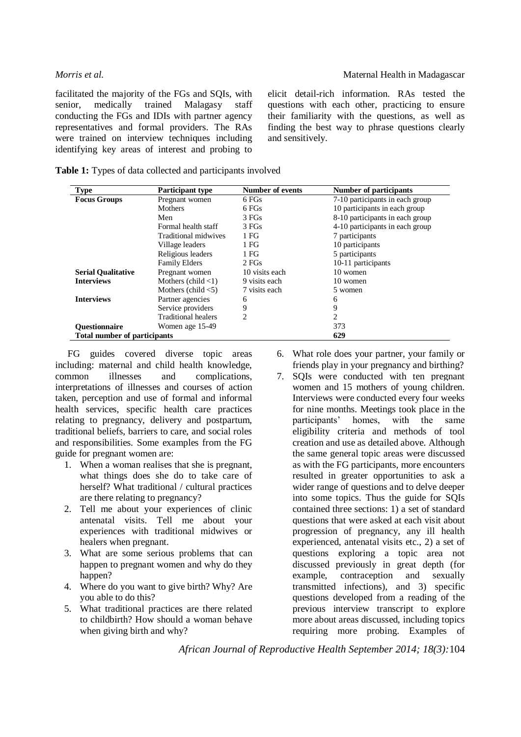facilitated the majority of the FGs and SQIs, with senior, medically trained Malagasy staff conducting the FGs and IDIs with partner agency representatives and formal providers. The RAs were trained on interview techniques including identifying key areas of interest and probing to elicit detail-rich information. RAs tested the questions with each other, practicing to ensure their familiarity with the questions, as well as finding the best way to phrase questions clearly and sensitively.

| <b>Type</b>                         | <b>Participant type</b>              | <b>Number of events</b> | Number of participants          |
|-------------------------------------|--------------------------------------|-------------------------|---------------------------------|
| <b>Focus Groups</b>                 | Pregnant women                       | 6 FGs                   | 7-10 participants in each group |
|                                     | <b>Mothers</b>                       | 6 FGs                   | 10 participants in each group   |
|                                     | Men                                  | 3 FGs                   | 8-10 participants in each group |
|                                     | Formal health staff                  | 3 FGs                   | 4-10 participants in each group |
|                                     | Traditional midwives                 | 1 <sub>FG</sub>         | 7 participants                  |
|                                     | Village leaders                      | 1 FG                    | 10 participants                 |
|                                     | Religious leaders                    | 1 FG                    | 5 participants                  |
|                                     | <b>Family Elders</b>                 | 2 FGs                   | 10-11 participants              |
| <b>Serial Qualitative</b>           | Pregnant women                       | 10 visits each          | 10 women                        |
| <b>Interviews</b>                   | Mothers (child $\langle 1 \rangle$ ) | 9 visits each           | 10 women                        |
|                                     | Mothers (child $<$ 5)                | 7 visits each           | 5 women                         |
| <b>Interviews</b>                   | Partner agencies                     | 6                       | 6                               |
|                                     | Service providers                    | 9                       | 9                               |
|                                     | <b>Traditional healers</b>           | $\overline{c}$          | 2                               |
| <b>Ouestionnaire</b>                | Women age 15-49                      |                         | 373                             |
| <b>Total number of participants</b> |                                      |                         | 629                             |

**Table 1:** Types of data collected and participants involved

FG guides covered diverse topic areas including: maternal and child health knowledge, common illnesses and complications, interpretations of illnesses and courses of action taken, perception and use of formal and informal health services, specific health care practices relating to pregnancy, delivery and postpartum, traditional beliefs, barriers to care, and social roles and responsibilities. Some examples from the FG guide for pregnant women are:

- 1. When a woman realises that she is pregnant, what things does she do to take care of herself? What traditional / cultural practices are there relating to pregnancy?
- 2. Tell me about your experiences of clinic antenatal visits. Tell me about your experiences with traditional midwives or healers when pregnant.
- 3. What are some serious problems that can happen to pregnant women and why do they happen?
- 4. Where do you want to give birth? Why? Are you able to do this?
- 5. What traditional practices are there related to childbirth? How should a woman behave when giving birth and why?
- 6. What role does your partner, your family or friends play in your pregnancy and birthing?
- 7. SQIs were conducted with ten pregnant women and 15 mothers of young children. Interviews were conducted every four weeks for nine months. Meetings took place in the participants' homes, with the same eligibility criteria and methods of tool creation and use as detailed above. Although the same general topic areas were discussed as with the FG participants, more encounters resulted in greater opportunities to ask a wider range of questions and to delve deeper into some topics. Thus the guide for SQIs contained three sections: 1) a set of standard questions that were asked at each visit about progression of pregnancy, any ill health experienced, antenatal visits etc., 2) a set of questions exploring a topic area not discussed previously in great depth (for example, contraception and sexually transmitted infections), and 3) specific questions developed from a reading of the previous interview transcript to explore more about areas discussed, including topics requiring more probing. Examples of

*African Journal of Reproductive Health September 2014; 18(3):*104

## *Morris et al.* Morris *et al.* Morris *et al.* Maternal Health in Madagascar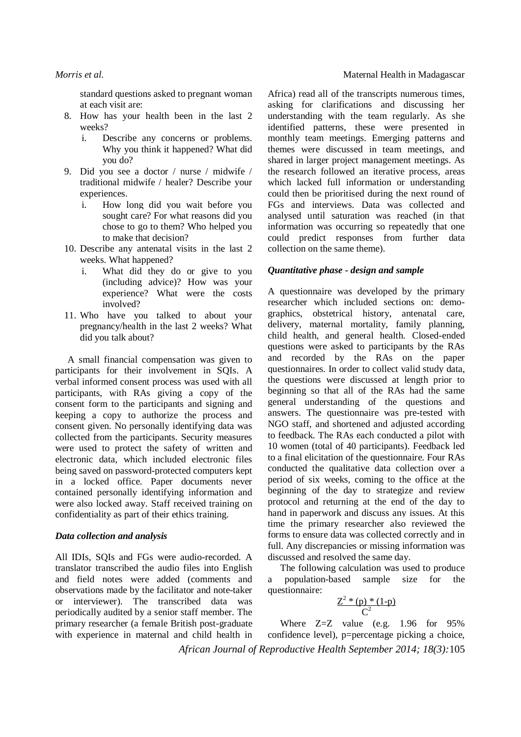standard questions asked to pregnant woman at each visit are:

- 8. How has your health been in the last 2 weeks?
	- i. Describe any concerns or problems. Why you think it happened? What did you do?
- 9. Did you see a doctor / nurse / midwife / traditional midwife / healer? Describe your experiences.
	- i. How long did you wait before you sought care? For what reasons did you chose to go to them? Who helped you to make that decision?
- 10. Describe any antenatal visits in the last 2 weeks. What happened?
	- i. What did they do or give to you (including advice)? How was your experience? What were the costs involved?
- 11. Who have you talked to about your pregnancy/health in the last 2 weeks? What did you talk about?

A small financial compensation was given to participants for their involvement in SQIs. A verbal informed consent process was used with all participants, with RAs giving a copy of the consent form to the participants and signing and keeping a copy to authorize the process and consent given. No personally identifying data was collected from the participants. Security measures were used to protect the safety of written and electronic data, which included electronic files being saved on password-protected computers kept in a locked office. Paper documents never contained personally identifying information and were also locked away. Staff received training on confidentiality as part of their ethics training.

### *Data collection and analysis*

All IDIs, SQIs and FGs were audio-recorded. A translator transcribed the audio files into English and field notes were added (comments and observations made by the facilitator and note-taker or interviewer). The transcribed data was periodically audited by a senior staff member. The primary researcher (a female British post-graduate with experience in maternal and child health in

Africa) read all of the transcripts numerous times, asking for clarifications and discussing her understanding with the team regularly. As she identified patterns, these were presented in monthly team meetings. Emerging patterns and themes were discussed in team meetings, and shared in larger project management meetings. As the research followed an iterative process, areas which lacked full information or understanding could then be prioritised during the next round of FGs and interviews. Data was collected and analysed until saturation was reached (in that information was occurring so repeatedly that one could predict responses from further data collection on the same theme).

### *Quantitative phase - design and sample*

A questionnaire was developed by the primary researcher which included sections on: demographics, obstetrical history, antenatal care, delivery, maternal mortality, family planning, child health, and general health. Closed-ended questions were asked to participants by the RAs and recorded by the RAs on the paper questionnaires. In order to collect valid study data, the questions were discussed at length prior to beginning so that all of the RAs had the same general understanding of the questions and answers. The questionnaire was pre-tested with NGO staff, and shortened and adjusted according to feedback. The RAs each conducted a pilot with 10 women (total of 40 participants). Feedback led to a final elicitation of the questionnaire. Four RAs conducted the qualitative data collection over a period of six weeks, coming to the office at the beginning of the day to strategize and review protocol and returning at the end of the day to hand in paperwork and discuss any issues. At this time the primary researcher also reviewed the forms to ensure data was collected correctly and in full. Any discrepancies or missing information was discussed and resolved the same day.

The following calculation was used to produce a population-based sample size for the questionnaire:

$$
\frac{Z^2*(p)*(1-p)}{C^2}
$$

*African Journal of Reproductive Health September 2014; 18(3):*105 Where Z=Z value (e.g. 1.96 for 95% confidence level), p=percentage picking a choice,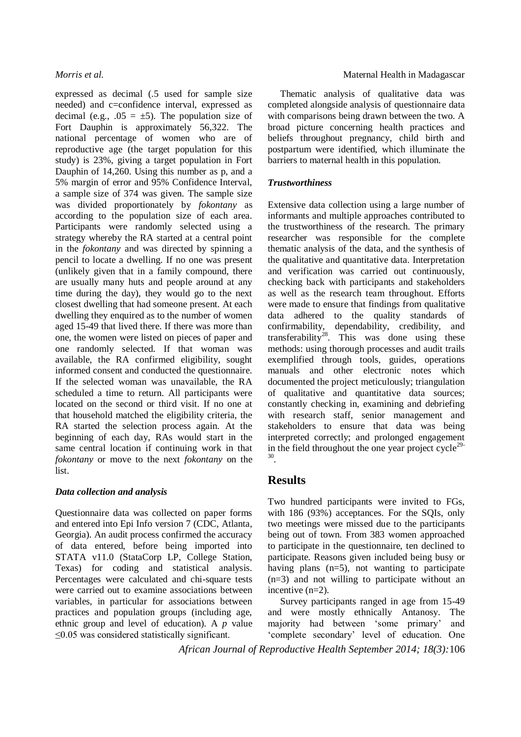expressed as decimal (.5 used for sample size needed) and c=confidence interval, expressed as decimal (e.g.,  $.05 = \pm 5$ ). The population size of Fort Dauphin is approximately 56,322. The national percentage of women who are of reproductive age (the target population for this study) is 23%, giving a target population in Fort Dauphin of 14,260. Using this number as p, and a 5% margin of error and 95% Confidence Interval, a sample size of 374 was given. The sample size was divided proportionately by *fokontany* as according to the population size of each area. Participants were randomly selected using a strategy whereby the RA started at a central point in the *fokontany* and was directed by spinning a pencil to locate a dwelling. If no one was present (unlikely given that in a family compound, there are usually many huts and people around at any time during the day), they would go to the next closest dwelling that had someone present. At each dwelling they enquired as to the number of women aged 15-49 that lived there. If there was more than one, the women were listed on pieces of paper and one randomly selected. If that woman was available, the RA confirmed eligibility, sought informed consent and conducted the questionnaire. If the selected woman was unavailable, the RA scheduled a time to return. All participants were located on the second or third visit. If no one at that household matched the eligibility criteria, the RA started the selection process again. At the beginning of each day, RAs would start in the same central location if continuing work in that *fokontany* or move to the next *fokontany* on the list.

### *Data collection and analysis*

Questionnaire data was collected on paper forms and entered into Epi Info version 7 (CDC, Atlanta, Georgia). An audit process confirmed the accuracy of data entered, before being imported into STATA v11.0 (StataCorp LP, College Station, Texas) for coding and statistical analysis. Percentages were calculated and chi-square tests were carried out to examine associations between variables, in particular for associations between practices and population groups (including age, ethnic group and level of education). A *p* value  $\leq$ 0.05 was considered statistically significant.

### *Morris et al.* Morris *et al.* Maternal Health in Madagascar

Thematic analysis of qualitative data was completed alongside analysis of questionnaire data with comparisons being drawn between the two. A broad picture concerning health practices and beliefs throughout pregnancy, child birth and postpartum were identified, which illuminate the barriers to maternal health in this population.

## *Trustworthiness*

Extensive data collection using a large number of informants and multiple approaches contributed to the trustworthiness of the research. The primary researcher was responsible for the complete thematic analysis of the data, and the synthesis of the qualitative and quantitative data. Interpretation and verification was carried out continuously, checking back with participants and stakeholders as well as the research team throughout. Efforts were made to ensure that findings from qualitative data adhered to the quality standards of confirmability, dependability, credibility, and transferability<sup>28</sup>. This was done using these methods: using thorough processes and audit trails exemplified through tools, guides, operations manuals and other electronic notes which documented the project meticulously; triangulation of qualitative and quantitative data sources; constantly checking in, examining and debriefing with research staff, senior management and stakeholders to ensure that data was being interpreted correctly; and prolonged engagement in the field throughout the one year project cycle<sup>29-</sup> 30 .

# **Results**

Two hundred participants were invited to FGs, with 186 (93%) acceptances. For the SQIs, only two meetings were missed due to the participants being out of town. From 383 women approached to participate in the questionnaire, ten declined to participate. Reasons given included being busy or having plans (n=5), not wanting to participate (n=3) and not willing to participate without an incentive (n=2).

Survey participants ranged in age from 15-49 and were mostly ethnically Antanosy. The majority had between 'some primary' and 'complete secondary' level of education. One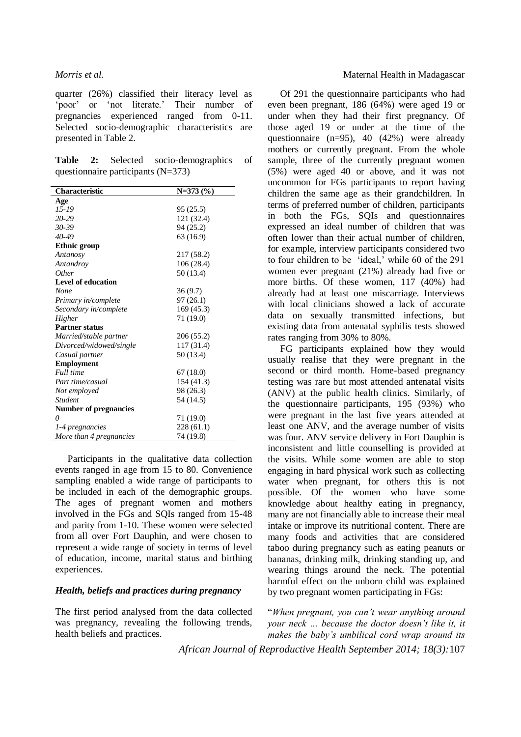quarter (26%) classified their literacy level as 'poor' or 'not literate.' Their number of pregnancies experienced ranged from 0-11. Selected socio-demographic characteristics are presented in Table 2.

**Table 2:** Selected socio-demographics of questionnaire participants (N=373)

| Characteristic               | $N=373(%)$ |  |  |  |
|------------------------------|------------|--|--|--|
| Age                          |            |  |  |  |
| 15-19                        | 95 (25.5)  |  |  |  |
| 20-29                        | 121 (32.4) |  |  |  |
| $30 - 39$                    | 94 (25.2)  |  |  |  |
| 40-49                        | 63 (16.9)  |  |  |  |
| <b>Ethnic</b> group          |            |  |  |  |
| Antanosy                     | 217 (58.2) |  |  |  |
| Antandroy                    | 106 (28.4) |  |  |  |
| Other                        | 50 (13.4)  |  |  |  |
| Level of education           |            |  |  |  |
| None                         | 36(9.7)    |  |  |  |
| Primary in/complete          | 97(26.1)   |  |  |  |
| Secondary in/complete        | 169 (45.3) |  |  |  |
| Higher                       | 71 (19.0)  |  |  |  |
| <b>Partner status</b>        |            |  |  |  |
| Married/stable partner       | 206 (55.2) |  |  |  |
| Divorced/widowed/single      | 117 (31.4) |  |  |  |
| Casual partner               | 50 (13.4)  |  |  |  |
| <b>Employment</b>            |            |  |  |  |
| Full time                    | 67(18.0)   |  |  |  |
| Part time/casual             | 154 (41.3) |  |  |  |
| Not employed                 | 98 (26.3)  |  |  |  |
| <b>Student</b>               | 54 (14.5)  |  |  |  |
| <b>Number of pregnancies</b> |            |  |  |  |
| $\theta$                     | 71 (19.0)  |  |  |  |
| 1-4 pregnancies              | 228 (61.1) |  |  |  |
| More than 4 pregnancies      | 74 (19.8)  |  |  |  |

Participants in the qualitative data collection events ranged in age from 15 to 80. Convenience sampling enabled a wide range of participants to be included in each of the demographic groups. The ages of pregnant women and mothers involved in the FGs and SQIs ranged from 15-48 and parity from 1-10. These women were selected from all over Fort Dauphin, and were chosen to represent a wide range of society in terms of level of education, income, marital status and birthing experiences.

## *Health, beliefs and practices during pregnancy*

The first period analysed from the data collected was pregnancy, revealing the following trends, health beliefs and practices.

### *Morris et al.* Morris *et al.* Maternal Health in Madagascar

Of 291 the questionnaire participants who had even been pregnant, 186 (64%) were aged 19 or under when they had their first pregnancy. Of those aged 19 or under at the time of the questionnaire (n=95), 40 (42%) were already mothers or currently pregnant. From the whole sample, three of the currently pregnant women (5%) were aged 40 or above, and it was not uncommon for FGs participants to report having children the same age as their grandchildren. In terms of preferred number of children, participants in both the FGs, SQIs and questionnaires expressed an ideal number of children that was often lower than their actual number of children, for example, interview participants considered two to four children to be 'ideal,' while 60 of the 291 women ever pregnant (21%) already had five or more births. Of these women, 117 (40%) had already had at least one miscarriage. Interviews with local clinicians showed a lack of accurate data on sexually transmitted infections, but existing data from antenatal syphilis tests showed rates ranging from 30% to 80%.

FG participants explained how they would usually realise that they were pregnant in the second or third month. Home-based pregnancy testing was rare but most attended antenatal visits (ANV) at the public health clinics. Similarly, of the questionnaire participants, 195 (93%) who were pregnant in the last five years attended at least one ANV, and the average number of visits was four. ANV service delivery in Fort Dauphin is inconsistent and little counselling is provided at the visits. While some women are able to stop engaging in hard physical work such as collecting water when pregnant, for others this is not possible. Of the women who have some knowledge about healthy eating in pregnancy, many are not financially able to increase their meal intake or improve its nutritional content. There are many foods and activities that are considered taboo during pregnancy such as eating peanuts or bananas, drinking milk, drinking standing up, and wearing things around the neck. The potential harmful effect on the unborn child was explained by two pregnant women participating in FGs:

"*When pregnant, you can't wear anything around your neck … because the doctor doesn't like it, it makes the baby's umbilical cord wrap around its*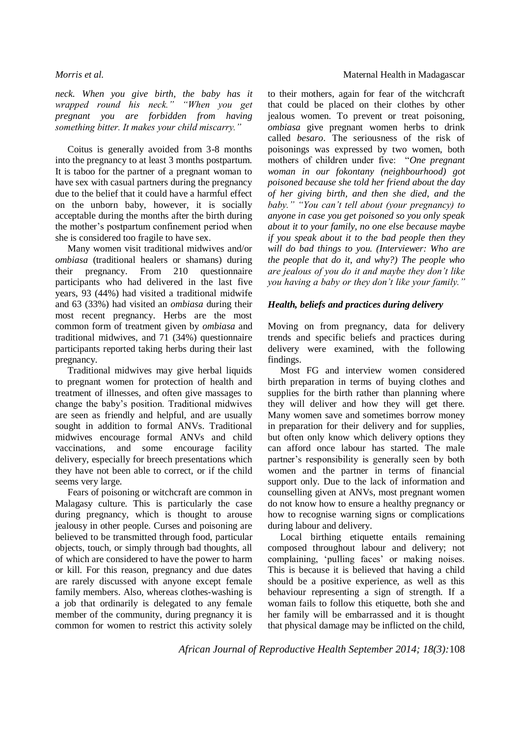*neck. When you give birth, the baby has it wrapped round his neck." "When you get pregnant you are forbidden from having something bitter. It makes your child miscarry."* 

Coitus is generally avoided from 3-8 months into the pregnancy to at least 3 months postpartum. It is taboo for the partner of a pregnant woman to have sex with casual partners during the pregnancy due to the belief that it could have a harmful effect on the unborn baby, however, it is socially acceptable during the months after the birth during the mother's postpartum confinement period when she is considered too fragile to have sex.

Many women visit traditional midwives and/or *ombiasa* (traditional healers or shamans) during their pregnancy. From 210 questionnaire participants who had delivered in the last five years, 93 (44%) had visited a traditional midwife and 63 (33%) had visited an *ombiasa* during their most recent pregnancy. Herbs are the most common form of treatment given by *ombiasa* and traditional midwives, and 71 (34%) questionnaire participants reported taking herbs during their last pregnancy.

Traditional midwives may give herbal liquids to pregnant women for protection of health and treatment of illnesses, and often give massages to change the baby's position. Traditional midwives are seen as friendly and helpful, and are usually sought in addition to formal ANVs. Traditional midwives encourage formal ANVs and child vaccinations, and some encourage facility delivery, especially for breech presentations which they have not been able to correct, or if the child seems very large.

Fears of poisoning or witchcraft are common in Malagasy culture. This is particularly the case during pregnancy, which is thought to arouse jealousy in other people. Curses and poisoning are believed to be transmitted through food, particular objects, touch, or simply through bad thoughts, all of which are considered to have the power to harm or kill. For this reason, pregnancy and due dates are rarely discussed with anyone except female family members. Also, whereas clothes-washing is a job that ordinarily is delegated to any female member of the community, during pregnancy it is common for women to restrict this activity solely

to their mothers, again for fear of the witchcraft that could be placed on their clothes by other jealous women. To prevent or treat poisoning, *ombiasa* give pregnant women herbs to drink called *besaro*. The seriousness of the risk of poisonings was expressed by two women, both mothers of children under five: "*One pregnant woman in our fokontany (neighbourhood) got poisoned because she told her friend about the day of her giving birth, and then she died, and the baby." "You can't tell about (your pregnancy) to anyone in case you get poisoned so you only speak about it to your family, no one else because maybe if you speak about it to the bad people then they will do bad things to you. (Interviewer: Who are the people that do it, and why?) The people who are jealous of you do it and maybe they don't like you having a baby or they don't like your family."*

### *Health, beliefs and practices during delivery*

Moving on from pregnancy, data for delivery trends and specific beliefs and practices during delivery were examined, with the following findings.

Most FG and interview women considered birth preparation in terms of buying clothes and supplies for the birth rather than planning where they will deliver and how they will get there. Many women save and sometimes borrow money in preparation for their delivery and for supplies, but often only know which delivery options they can afford once labour has started. The male partner's responsibility is generally seen by both women and the partner in terms of financial support only. Due to the lack of information and counselling given at ANVs, most pregnant women do not know how to ensure a healthy pregnancy or how to recognise warning signs or complications during labour and delivery.

Local birthing etiquette entails remaining composed throughout labour and delivery; not complaining, 'pulling faces' or making noises. This is because it is believed that having a child should be a positive experience, as well as this behaviour representing a sign of strength. If a woman fails to follow this etiquette, both she and her family will be embarrassed and it is thought that physical damage may be inflicted on the child,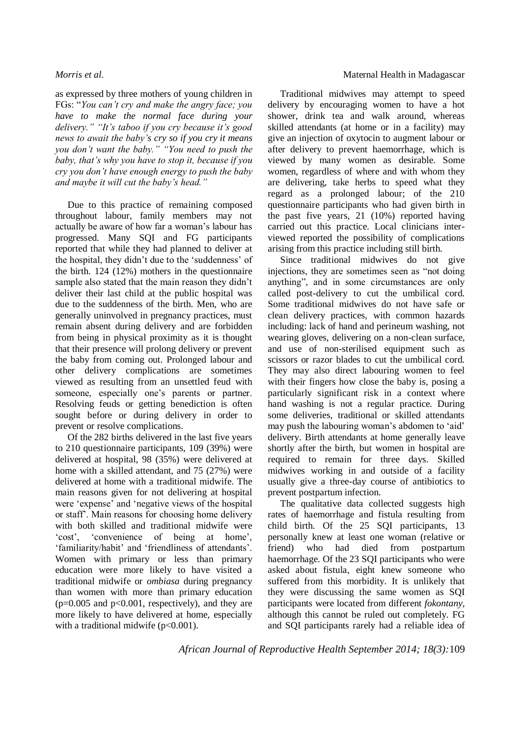as expressed by three mothers of young children in FGs: "*You can't cry and make the angry face; you have to make the normal face during your delivery." "It's taboo if you cry because it's good news to await the baby's cry so if you cry it means you don't want the baby." "You need to push the baby, that's why you have to stop it, because if you cry you don't have enough energy to push the baby and maybe it will cut the baby's head."*

Due to this practice of remaining composed throughout labour, family members may not actually be aware of how far a woman's labour has progressed. Many SQI and FG participants reported that while they had planned to deliver at the hospital, they didn't due to the 'suddenness' of the birth. 124 (12%) mothers in the questionnaire sample also stated that the main reason they didn't deliver their last child at the public hospital was due to the suddenness of the birth. Men, who are generally uninvolved in pregnancy practices, must remain absent during delivery and are forbidden from being in physical proximity as it is thought that their presence will prolong delivery or prevent the baby from coming out. Prolonged labour and other delivery complications are sometimes viewed as resulting from an unsettled feud with someone, especially one's parents or partner. Resolving feuds or getting benediction is often sought before or during delivery in order to prevent or resolve complications.

Of the 282 births delivered in the last five years to 210 questionnaire participants, 109 (39%) were delivered at hospital, 98 (35%) were delivered at home with a skilled attendant, and 75 (27%) were delivered at home with a traditional midwife. The main reasons given for not delivering at hospital were 'expense' and 'negative views of the hospital or staff'. Main reasons for choosing home delivery with both skilled and traditional midwife were 'cost', 'convenience of being at home', 'familiarity/habit' and 'friendliness of attendants'. Women with primary or less than primary education were more likely to have visited a traditional midwife or *ombiasa* during pregnancy than women with more than primary education  $(p=0.005$  and  $p<0.001$ , respectively), and they are more likely to have delivered at home, especially with a traditional midwife  $(p<0.001)$ .

### *Morris et al.* Morris *et al.* Morris *et al.* Maternal Health in Madagascar

Traditional midwives may attempt to speed delivery by encouraging women to have a hot shower, drink tea and walk around, whereas skilled attendants (at home or in a facility) may give an injection of oxytocin to augment labour or after delivery to prevent haemorrhage, which is viewed by many women as desirable. Some women, regardless of where and with whom they are delivering, take herbs to speed what they regard as a prolonged labour; of the 210 questionnaire participants who had given birth in the past five years, 21 (10%) reported having carried out this practice. Local clinicians interviewed reported the possibility of complications arising from this practice including still birth.

Since traditional midwives do not give injections, they are sometimes seen as "not doing anything", and in some circumstances are only called post-delivery to cut the umbilical cord. Some traditional midwives do not have safe or clean delivery practices, with common hazards including: lack of hand and perineum washing, not wearing gloves, delivering on a non-clean surface, and use of non-sterilised equipment such as scissors or razor blades to cut the umbilical cord. They may also direct labouring women to feel with their fingers how close the baby is, posing a particularly significant risk in a context where hand washing is not a regular practice. During some deliveries, traditional or skilled attendants may push the labouring woman's abdomen to 'aid' delivery. Birth attendants at home generally leave shortly after the birth, but women in hospital are required to remain for three days. Skilled midwives working in and outside of a facility usually give a three-day course of antibiotics to prevent postpartum infection.

The qualitative data collected suggests high rates of haemorrhage and fistula resulting from child birth. Of the 25 SQI participants, 13 personally knew at least one woman (relative or friend) who had died from postpartum haemorrhage. Of the 23 SQI participants who were asked about fistula, eight knew someone who suffered from this morbidity. It is unlikely that they were discussing the same women as SQI participants were located from different *fokontany,* although this cannot be ruled out completely. FG and SQI participants rarely had a reliable idea of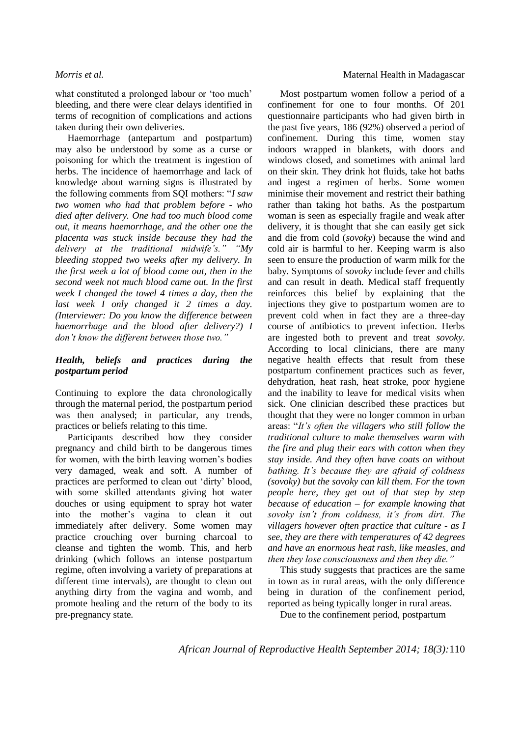what constituted a prolonged labour or 'too much' bleeding, and there were clear delays identified in terms of recognition of complications and actions taken during their own deliveries.

Haemorrhage (antepartum and postpartum) may also be understood by some as a curse or poisoning for which the treatment is ingestion of herbs. The incidence of haemorrhage and lack of knowledge about warning signs is illustrated by the following comments from SQI mothers: "*I saw two women who had that problem before - who died after delivery. One had too much blood come out, it means haemorrhage, and the other one the placenta was stuck inside because they had the delivery at the traditional midwife's." "My bleeding stopped two weeks after my delivery. In the first week a lot of blood came out, then in the second week not much blood came out. In the first week I changed the towel 4 times a day, then the last week I only changed it 2 times a day. (Interviewer: Do you know the difference between haemorrhage and the blood after delivery?) I don't know the different between those two."*

### *Health, beliefs and practices during the postpartum period*

Continuing to explore the data chronologically through the maternal period, the postpartum period was then analysed; in particular, any trends, practices or beliefs relating to this time.

Participants described how they consider pregnancy and child birth to be dangerous times for women, with the birth leaving women's bodies very damaged, weak and soft. A number of practices are performed to clean out 'dirty' blood, with some skilled attendants giving hot water douches or using equipment to spray hot water into the mother's vagina to clean it out immediately after delivery. Some women may practice crouching over burning charcoal to cleanse and tighten the womb. This, and herb drinking (which follows an intense postpartum regime, often involving a variety of preparations at different time intervals), are thought to clean out anything dirty from the vagina and womb, and promote healing and the return of the body to its pre-pregnancy state.

### *Morris et al.* Morris *et al.* Maternal Health in Madagascar

Most postpartum women follow a period of a confinement for one to four months. Of 201 questionnaire participants who had given birth in the past five years, 186 (92%) observed a period of confinement. During this time, women stay indoors wrapped in blankets, with doors and windows closed, and sometimes with animal lard on their skin. They drink hot fluids, take hot baths and ingest a regimen of herbs. Some women minimise their movement and restrict their bathing rather than taking hot baths. As the postpartum woman is seen as especially fragile and weak after delivery, it is thought that she can easily get sick and die from cold (*sovoky*) because the wind and cold air is harmful to her. Keeping warm is also seen to ensure the production of warm milk for the baby. Symptoms of *sovoky* include fever and chills and can result in death. Medical staff frequently reinforces this belief by explaining that the injections they give to postpartum women are to prevent cold when in fact they are a three-day course of antibiotics to prevent infection. Herbs are ingested both to prevent and treat *sovoky*. According to local clinicians, there are many negative health effects that result from these postpartum confinement practices such as fever, dehydration, heat rash, heat stroke, poor hygiene and the inability to leave for medical visits when sick. One clinician described these practices but thought that they were no longer common in urban areas: "*It's often the villagers who still follow the traditional culture to make themselves warm with the fire and plug their ears with cotton when they stay inside. And they often have coats on without bathing. It's because they are afraid of coldness (sovoky) but the sovoky can kill them. For the town people here, they get out of that step by step because of education – for example knowing that sovoky isn't from coldness, it's from dirt. The villagers however often practice that culture - as I see, they are there with temperatures of 42 degrees and have an enormous heat rash, like measles, and then they lose consciousness and then they die."*

This study suggests that practices are the same in town as in rural areas, with the only difference being in duration of the confinement period, reported as being typically longer in rural areas.

Due to the confinement period, postpartum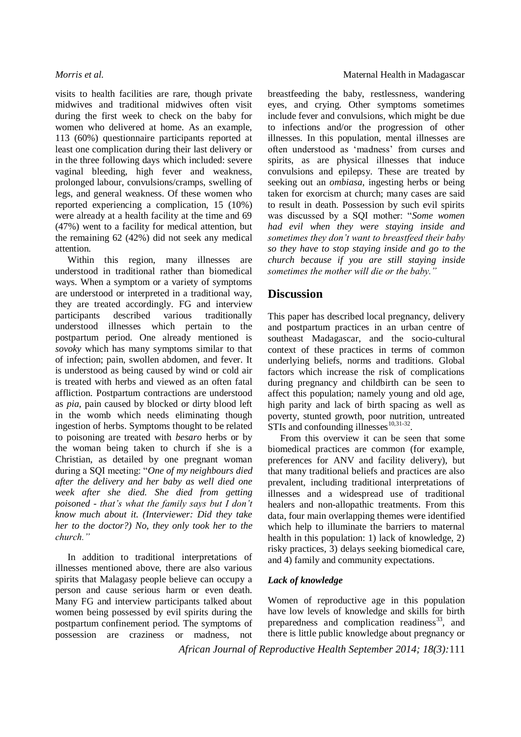visits to health facilities are rare, though private midwives and traditional midwives often visit during the first week to check on the baby for women who delivered at home. As an example, 113 (60%) questionnaire participants reported at least one complication during their last delivery or in the three following days which included: severe vaginal bleeding, high fever and weakness, prolonged labour, convulsions/cramps, swelling of legs, and general weakness. Of these women who reported experiencing a complication, 15 (10%) were already at a health facility at the time and 69 (47%) went to a facility for medical attention, but the remaining 62 (42%) did not seek any medical attention.

Within this region, many illnesses are understood in traditional rather than biomedical ways. When a symptom or a variety of symptoms are understood or interpreted in a traditional way, they are treated accordingly. FG and interview participants described various traditionally understood illnesses which pertain to the postpartum period. One already mentioned is *sovoky* which has many symptoms similar to that of infection; pain, swollen abdomen, and fever. It is understood as being caused by wind or cold air is treated with herbs and viewed as an often fatal affliction. Postpartum contractions are understood as *pia*, pain caused by blocked or dirty blood left in the womb which needs eliminating though ingestion of herbs. Symptoms thought to be related to poisoning are treated with *besaro* herbs or by the woman being taken to church if she is a Christian, as detailed by one pregnant woman during a SQI meeting: "*One of my neighbours died after the delivery and her baby as well died one week after she died. She died from getting poisoned - that's what the family says but I don't know much about it. (Interviewer: Did they take her to the doctor?) No, they only took her to the church."* 

In addition to traditional interpretations of illnesses mentioned above, there are also various spirits that Malagasy people believe can occupy a person and cause serious harm or even death. Many FG and interview participants talked about women being possessed by evil spirits during the postpartum confinement period. The symptoms of possession are craziness or madness, not

breastfeeding the baby, restlessness, wandering eyes, and crying. Other symptoms sometimes include fever and convulsions, which might be due to infections and/or the progression of other illnesses. In this population, mental illnesses are often understood as 'madness' from curses and spirits, as are physical illnesses that induce convulsions and epilepsy. These are treated by seeking out an *ombiasa*, ingesting herbs or being taken for exorcism at church; many cases are said to result in death. Possession by such evil spirits was discussed by a SQI mother: "*Some women had evil when they were staying inside and sometimes they don't want to breastfeed their baby so they have to stop staying inside and go to the church because if you are still staying inside sometimes the mother will die or the baby."*

## **Discussion**

This paper has described local pregnancy, delivery and postpartum practices in an urban centre of southeast Madagascar, and the socio-cultural context of these practices in terms of common underlying beliefs, norms and traditions. Global factors which increase the risk of complications during pregnancy and childbirth can be seen to affect this population; namely young and old age, high parity and lack of birth spacing as well as poverty, stunted growth, poor nutrition, untreated  $STIs$  and confounding illnesses<sup>10,31-32</sup>.

From this overview it can be seen that some biomedical practices are common (for example, preferences for ANV and facility delivery), but that many traditional beliefs and practices are also prevalent, including traditional interpretations of illnesses and a widespread use of traditional healers and non-allopathic treatments. From this data, four main overlapping themes were identified which help to illuminate the barriers to maternal health in this population: 1) lack of knowledge, 2) risky practices, 3) delays seeking biomedical care, and 4) family and community expectations.

## *Lack of knowledge*

Women of reproductive age in this population have low levels of knowledge and skills for birth preparedness and complication readiness $^{33}$ , and there is little public knowledge about pregnancy or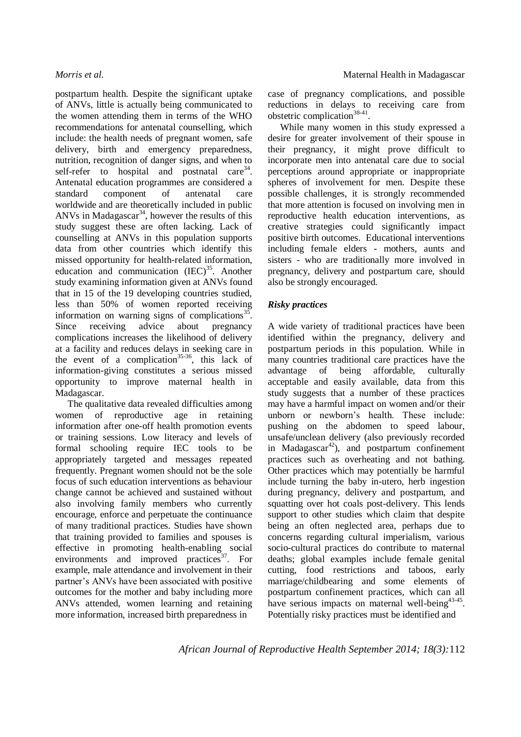postpartum health. Despite the significant uptake of ANVs, little is actually being communicated to the women attending them in terms of the WHO recommendations for antenatal counselling, which include: the health needs of pregnant women, safe delivery, birth and emergency preparedness, nutrition, recognition of danger signs, and when to self-refer to hospital and postnatal  $care<sup>34</sup>$ . Antenatal education programmes are considered a standard component of antenatal care worldwide and are theoretically included in public ANVs in Madagascar<sup>34</sup>, however the results of this study suggest these are often lacking. Lack of counselling at ANVs in this population supports data from other countries which identify this missed opportunity for health-related information, education and communication  $(IEC)^{35}$ . Another study examining information given at ANVs found that in 15 of the 19 developing countries studied, less than 50% of women reported receiving information on warning signs of complications<sup>35</sup>. Since receiving advice about pregnancy complications increases the likelihood of delivery at a facility and reduces delays in seeking care in the event of a complication<sup>35-36</sup>, this lack of information-giving constitutes a serious missed opportunity to improve maternal health in Madagascar.

The qualitative data revealed difficulties among women of reproductive age in retaining information after one-off health promotion events or training sessions. Low literacy and levels of formal schooling require IEC tools to be appropriately targeted and messages repeated frequently. Pregnant women should not be the sole focus of such education interventions as behaviour change cannot be achieved and sustained without also involving family members who currently encourage, enforce and perpetuate the continuance of many traditional practices. Studies have shown that training provided to families and spouses is effective in promoting health-enabling social environments and improved practices $3^7$ . For example, male attendance and involvement in their partner's ANVs have been associated with positive outcomes for the mother and baby including more ANVs attended, women learning and retaining more information, increased birth preparedness in

case of pregnancy complications, and possible reductions in delays to receiving care from obstetric complication<sup>38-41</sup>.

While many women in this study expressed a desire for greater involvement of their spouse in their pregnancy, it might prove difficult to incorporate men into antenatal care due to social perceptions around appropriate or inappropriate spheres of involvement for men. Despite these possible challenges, it is strongly recommended that more attention is focused on involving men in reproductive health education interventions, as creative strategies could significantly impact positive birth outcomes. Educational interventions including female elders - mothers, aunts and sisters - who are traditionally more involved in pregnancy, delivery and postpartum care, should also be strongly encouraged.

### *Risky practices*

A wide variety of traditional practices have been identified within the pregnancy, delivery and postpartum periods in this population. While in many countries traditional care practices have the advantage of being affordable, culturally acceptable and easily available, data from this study suggests that a number of these practices may have a harmful impact on women and/or their unborn or newborn's health. These include: pushing on the abdomen to speed labour, unsafe/unclean delivery (also previously recorded in Madagascar<sup>42</sup>), and postpartum confinement practices such as overheating and not bathing. Other practices which may potentially be harmful include turning the baby in-utero, herb ingestion during pregnancy, delivery and postpartum, and squatting over hot coals post-delivery. This lends support to other studies which claim that despite being an often neglected area, perhaps due to concerns regarding cultural imperialism, various socio-cultural practices do contribute to maternal deaths; global examples include female genital cutting, food restrictions and taboos, early marriage/childbearing and some elements of postpartum confinement practices, which can all have serious impacts on maternal well-being<sup>43-45</sup>. Potentially risky practices must be identified and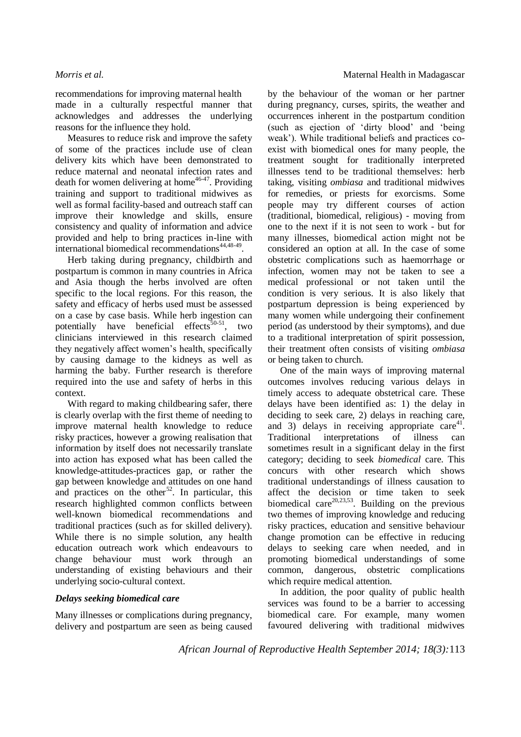recommendations for improving maternal health made in a culturally respectful manner that acknowledges and addresses the underlying reasons for the influence they hold.

Measures to reduce risk and improve the safety of some of the practices include use of clean delivery kits which have been demonstrated to reduce maternal and neonatal infection rates and death for women delivering at home<sup>46-47</sup>. Providing training and support to traditional midwives as well as formal facility-based and outreach staff can improve their knowledge and skills, ensure consistency and quality of information and advice provided and help to bring practices in-line with international biomedical recommendations<sup>44,48-49</sup>.

Herb taking during pregnancy, childbirth and postpartum is common in many countries in Africa and Asia though the herbs involved are often specific to the local regions. For this reason, the safety and efficacy of herbs used must be assessed on a case by case basis. While herb ingestion can potentially have beneficial effects<sup>50-51</sup>, two clinicians interviewed in this research claimed they negatively affect women's health, specifically by causing damage to the kidneys as well as harming the baby. Further research is therefore required into the use and safety of herbs in this context.

With regard to making childbearing safer, there is clearly overlap with the first theme of needing to improve maternal health knowledge to reduce risky practices, however a growing realisation that information by itself does not necessarily translate into action has exposed what has been called the knowledge-attitudes-practices gap, or rather the gap between knowledge and attitudes on one hand and practices on the other<sup>52</sup>. In particular, this research highlighted common conflicts between well-known biomedical recommendations and traditional practices (such as for skilled delivery). While there is no simple solution, any health education outreach work which endeavours to change behaviour must work through an understanding of existing behaviours and their underlying socio-cultural context.

### *Delays seeking biomedical care*

Many illnesses or complications during pregnancy, delivery and postpartum are seen as being caused by the behaviour of the woman or her partner during pregnancy, curses, spirits, the weather and occurrences inherent in the postpartum condition (such as ejection of 'dirty blood' and 'being weak'). While traditional beliefs and practices coexist with biomedical ones for many people, the treatment sought for traditionally interpreted illnesses tend to be traditional themselves: herb taking, visiting *ombiasa* and traditional midwives for remedies, or priests for exorcisms. Some people may try different courses of action (traditional, biomedical, religious) - moving from one to the next if it is not seen to work - but for many illnesses, biomedical action might not be considered an option at all. In the case of some obstetric complications such as haemorrhage or infection, women may not be taken to see a medical professional or not taken until the condition is very serious. It is also likely that postpartum depression is being experienced by many women while undergoing their confinement period (as understood by their symptoms), and due to a traditional interpretation of spirit possession, their treatment often consists of visiting *ombiasa* or being taken to church.

One of the main ways of improving maternal outcomes involves reducing various delays in timely access to adequate obstetrical care. These delays have been identified as: 1) the delay in deciding to seek care, 2) delays in reaching care, and 3) delays in receiving appropriate  $care<sup>41</sup>$ . Traditional interpretations of illness can sometimes result in a significant delay in the first category; deciding to seek *biomedical* care. This concurs with other research which shows traditional understandings of illness causation to affect the decision or time taken to seek biomedical care $20,23,53$ . Building on the previous two themes of improving knowledge and reducing risky practices, education and sensitive behaviour change promotion can be effective in reducing delays to seeking care when needed, and in promoting biomedical understandings of some common, dangerous, obstetric complications which require medical attention.

In addition, the poor quality of public health services was found to be a barrier to accessing biomedical care. For example, many women favoured delivering with traditional midwives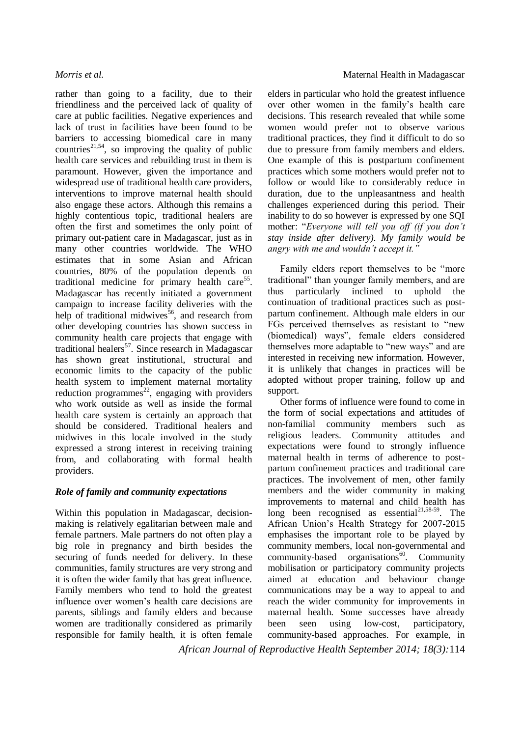rather than going to a facility, due to their friendliness and the perceived lack of quality of care at public facilities. Negative experiences and lack of trust in facilities have been found to be barriers to accessing biomedical care in many countries<sup>21,54</sup>, so improving the quality of public health care services and rebuilding trust in them is paramount. However, given the importance and widespread use of traditional health care providers, interventions to improve maternal health should also engage these actors. Although this remains a highly contentious topic, traditional healers are often the first and sometimes the only point of primary out-patient care in Madagascar, just as in many other countries worldwide. The WHO estimates that in some Asian and African countries, 80% of the population depends on traditional medicine for primary health care<sup>55</sup>. Madagascar has recently initiated a government campaign to increase facility deliveries with the help of traditional midwives<sup>56</sup>, and research from other developing countries has shown success in community health care projects that engage with traditional healers<sup>57</sup>. Since research in Madagascar has shown great institutional, structural and economic limits to the capacity of the public health system to implement maternal mortality reduction programmes<sup>22</sup>, engaging with providers who work outside as well as inside the formal health care system is certainly an approach that should be considered. Traditional healers and midwives in this locale involved in the study expressed a strong interest in receiving training from, and collaborating with formal health providers.

## *Role of family and community expectations*

Within this population in Madagascar, decisionmaking is relatively egalitarian between male and female partners. Male partners do not often play a big role in pregnancy and birth besides the securing of funds needed for delivery. In these communities, family structures are very strong and it is often the wider family that has great influence. Family members who tend to hold the greatest influence over women's health care decisions are parents, siblings and family elders and because women are traditionally considered as primarily responsible for family health, it is often female elders in particular who hold the greatest influence over other women in the family's health care decisions. This research revealed that while some women would prefer not to observe various traditional practices, they find it difficult to do so due to pressure from family members and elders. One example of this is postpartum confinement practices which some mothers would prefer not to follow or would like to considerably reduce in duration, due to the unpleasantness and health challenges experienced during this period. Their inability to do so however is expressed by one SQI mother: "*Everyone will tell you off (if you don't stay inside after delivery). My family would be angry with me and wouldn't accept it."*

Family elders report themselves to be "more traditional" than younger family members, and are thus particularly inclined to uphold the continuation of traditional practices such as postpartum confinement. Although male elders in our FGs perceived themselves as resistant to "new (biomedical) ways", female elders considered themselves more adaptable to "new ways" and are interested in receiving new information. However, it is unlikely that changes in practices will be adopted without proper training, follow up and support.

Other forms of influence were found to come in the form of social expectations and attitudes of non-familial community members such as religious leaders. Community attitudes and expectations were found to strongly influence maternal health in terms of adherence to postpartum confinement practices and traditional care practices. The involvement of men, other family members and the wider community in making improvements to maternal and child health has long been recognised as essential $2^{1,58-59}$ . The African Union's Health Strategy for 2007-2015 emphasises the important role to be played by community members, local non-governmental and  $community-based$  organisations<sup>60</sup>. Community mobilisation or participatory community projects aimed at education and behaviour change communications may be a way to appeal to and reach the wider community for improvements in maternal health. Some successes have already been seen using low-cost, participatory, community-based approaches. For example, in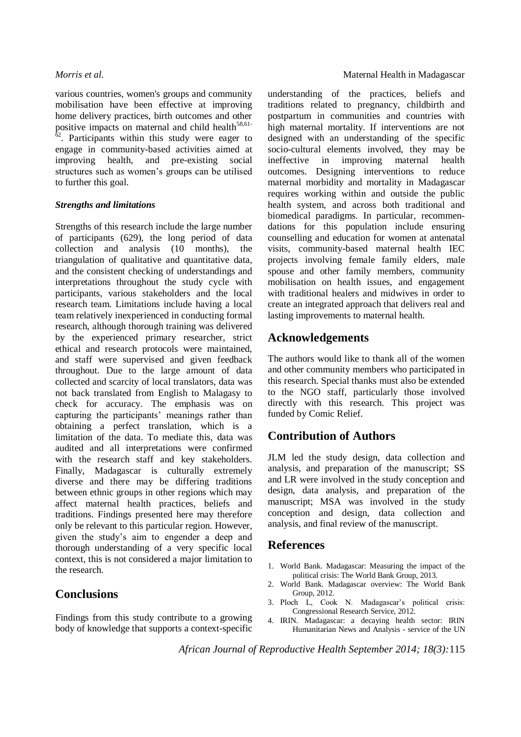various countries, women's groups and community mobilisation have been effective at improving home delivery practices, birth outcomes and other positive impacts on maternal and child health $58,61$ - $\mu$ <sup>2</sup>. Participants within this study were eager to engage in community-based activities aimed at improving health, and pre-existing social improving health, and structures such as women's groups can be utilised to further this goal.

### *Strengths and limitations*

Strengths of this research include the large number of participants (629), the long period of data collection and analysis (10 months), the triangulation of qualitative and quantitative data, and the consistent checking of understandings and interpretations throughout the study cycle with participants, various stakeholders and the local research team. Limitations include having a local team relatively inexperienced in conducting formal research, although thorough training was delivered by the experienced primary researcher, strict ethical and research protocols were maintained, and staff were supervised and given feedback throughout. Due to the large amount of data collected and scarcity of local translators, data was not back translated from English to Malagasy to check for accuracy. The emphasis was on capturing the participants' meanings rather than obtaining a perfect translation, which is a limitation of the data. To mediate this, data was audited and all interpretations were confirmed with the research staff and key stakeholders. Finally, Madagascar is culturally extremely diverse and there may be differing traditions between ethnic groups in other regions which may affect maternal health practices, beliefs and traditions. Findings presented here may therefore only be relevant to this particular region. However, given the study's aim to engender a deep and thorough understanding of a very specific local context, this is not considered a major limitation to the research.

# **Conclusions**

Findings from this study contribute to a growing body of knowledge that supports a context-specific understanding of the practices, beliefs and traditions related to pregnancy, childbirth and postpartum in communities and countries with high maternal mortality. If interventions are not designed with an understanding of the specific socio-cultural elements involved, they may be ineffective in improving maternal health outcomes. Designing interventions to reduce maternal morbidity and mortality in Madagascar requires working within and outside the public health system, and across both traditional and biomedical paradigms. In particular, recommendations for this population include ensuring counselling and education for women at antenatal visits, community-based maternal health IEC projects involving female family elders, male spouse and other family members, community mobilisation on health issues, and engagement with traditional healers and midwives in order to create an integrated approach that delivers real and lasting improvements to maternal health.

# **Acknowledgements**

The authors would like to thank all of the women and other community members who participated in this research. Special thanks must also be extended to the NGO staff, particularly those involved directly with this research. This project was funded by Comic Relief.

# **Contribution of Authors**

JLM led the study design, data collection and analysis, and preparation of the manuscript; SS and LR were involved in the study conception and design, data analysis, and preparation of the manuscript; MSA was involved in the study conception and design, data collection and analysis, and final review of the manuscript.

# **References**

- 1. World Bank. Madagascar: Measuring the impact of the political crisis: The World Bank Group, 2013.
- 2. World Bank. Madagascar overview: The World Bank Group, 2012.
- 3. Ploch L, Cook N. Madagascar's political crisis: Congressional Research Service, 2012.
- 4. IRIN. Madagascar: a decaying health sector: IRIN Humanitarian News and Analysis - service of the UN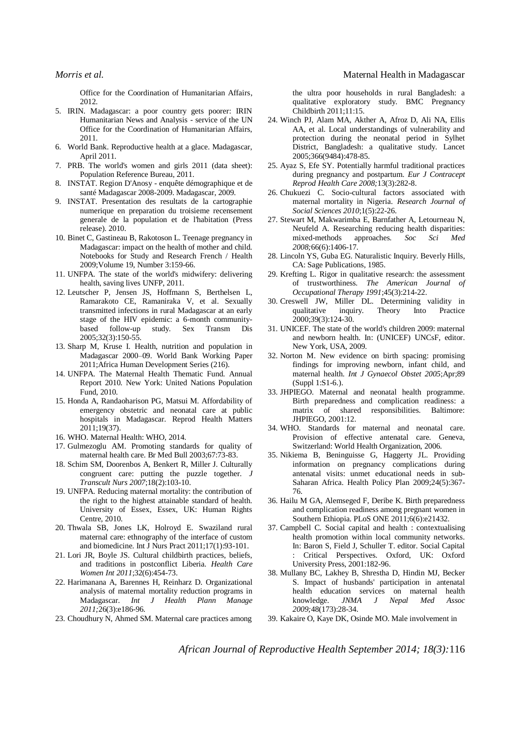- 5. IRIN. Madagascar: a poor country gets poorer: IRIN Humanitarian News and Analysis - service of the UN Office for the Coordination of Humanitarian Affairs, 2011.
- 6. World Bank. Reproductive health at a glace. Madagascar, April 2011.
- 7. PRB. The world's women and girls 2011 (data sheet): Population Reference Bureau, 2011.
- 8. INSTAT. Region D'Anosy enquête démographique et de santé Madagascar 2008-2009. Madagascar, 2009.
- 9. INSTAT. Presentation des resultats de la cartographie numerique en preparation du troisieme recensement generale de la population et de l'habitation (Press release). 2010.
- 10. Binet C, Gastineau B, Rakotoson L. Teenage pregnancy in Madagascar: impact on the health of mother and child. Notebooks for Study and Research French / Health 2009;Volume 19, Number 3:159-66.
- 11. UNFPA. The state of the world's midwifery: delivering health, saving lives UNFP, 2011.
- 12. Leutscher P, Jensen JS, Hoffmann S, Berthelsen L, Ramarakoto CE, Ramaniraka V, et al. Sexually transmitted infections in rural Madagascar at an early stage of the HIV epidemic: a 6-month communitybased follow-up study. Sex Transm Dis 2005;32(3):150-55.
- 13. Sharp M, Kruse I. Health, nutrition and population in Madagascar 2000–09. World Bank Working Paper 2011;Africa Human Development Series (216).
- 14. UNFPA. The Maternal Health Thematic Fund. Annual Report 2010. New York: United Nations Population Fund, 2010.
- 15. Honda A, Randaoharison PG, Matsui M. Affordability of emergency obstetric and neonatal care at public hospitals in Madagascar. Reprod Health Matters 2011;19(37).
- 16. WHO. Maternal Health: WHO, 2014.
- 17. Gulmezoglu AM. Promoting standards for quality of maternal health care. Br Med Bull 2003;67:73-83.
- 18. Schim SM, Doorenbos A, Benkert R, Miller J. Culturally congruent care: putting the puzzle together. *J Transcult Nurs 2007*;18(2):103-10.
- 19. UNFPA. Reducing maternal mortality: the contribution of the right to the highest attainable standard of health. University of Essex, Essex, UK: Human Rights Centre, 2010.
- 20. Thwala SB, Jones LK, Holroyd E. Swaziland rural maternal care: ethnography of the interface of custom and biomedicine. Int J Nurs Pract 2011;17(1):93-101.
- 21. Lori JR, Boyle JS. Cultural childbirth practices, beliefs, and traditions in postconflict Liberia. *Health Care Women Int 2011*:32(6):454-73.
- 22. Harimanana A, Barennes H, Reinharz D. Organizational analysis of maternal mortality reduction programs in Madagascar. *Int J Health Plann Manage 2011;*26(3):e186-96.
- 23. Choudhury N, Ahmed SM. Maternal care practices among

the ultra poor households in rural Bangladesh: a qualitative exploratory study. BMC Pregnancy Childbirth 2011;11:15.

- 24. Winch PJ, Alam MA, Akther A, Afroz D, Ali NA, Ellis AA, et al. Local understandings of vulnerability and protection during the neonatal period in Sylhet District, Bangladesh: a qualitative study. Lancet 2005;366(9484):478-85.
- 25. Ayaz S, Efe SY. Potentially harmful traditional practices during pregnancy and postpartum. *Eur J Contracept Reprod Health Care 2008;*13(3):282-8.
- 26. Chukuezi C. Socio-cultural factors associated with maternal mortality in Nigeria. *Research Journal of Social Sciences 2010*;1(5):22-26.
- 27. Stewart M, Makwarimba E, Barnfather A, Letourneau N, Neufeld A. Researching reducing health disparities: mixed-methods approaches. *Soc Sci Med 2008;*66(6):1406-17.
- 28. Lincoln YS, Guba EG. Naturalistic Inquiry. Beverly Hills, CA: Sage Publications, 1985.
- 29. Krefting L. Rigor in qualitative research: the assessment of trustworthiness. *The American Journal of Occupational Therapy 1991*;45(3):214-22.
- 30. Creswell JW, Miller DL. Determining validity in qualitative inquiry. Theory Into Practice 2000;39(3):124-30.
- 31. UNICEF. The state of the world's children 2009: maternal and newborn health. In: (UNICEF) UNCsF, editor. New York, USA, 2009.
- 32. Norton M. New evidence on birth spacing: promising findings for improving newborn, infant child, and maternal health. *Int J Gynaecol Obstet 2005*;Apr;89 (Suppl 1:S1-6.).
- 33. JHPIEGO. Maternal and neonatal health programme. Birth preparedness and complication readiness: a matrix of shared responsibilities. Baltimore: JHPIEGO, 2001:12.
- 34. WHO. Standards for maternal and neonatal care. Provision of effective antenatal care. Geneva, Switzerland: World Health Organization, 2006.
- 35. Nikiema B, Beninguisse G, Haggerty JL. Providing information on pregnancy complications during antenatal visits: unmet educational needs in sub-Saharan Africa. Health Policy Plan 2009;24(5):367- 76.
- 36. Hailu M GA, Alemseged F, Deribe K. Birth preparedness and complication readiness among pregnant women in Southern Ethiopia. PLoS ONE 2011;6(6):e21432.
- 37. Campbell C. Social capital and health : contextualising health promotion within local community networks. In: Baron S, Field J, Schuller T. editor. Social Capital : Critical Perspectives. Oxford, UK: Oxford University Press, 2001:182-96.
- 38. Mullany BC, Lakhey B, Shrestha D, Hindin MJ, Becker S. Impact of husbands' participation in antenatal health education services on maternal health knowledge. *JNMA J Nepal Med Assoc 2009;*48(173):28-34.
- 39. Kakaire O, Kaye DK, Osinde MO. Male involvement in